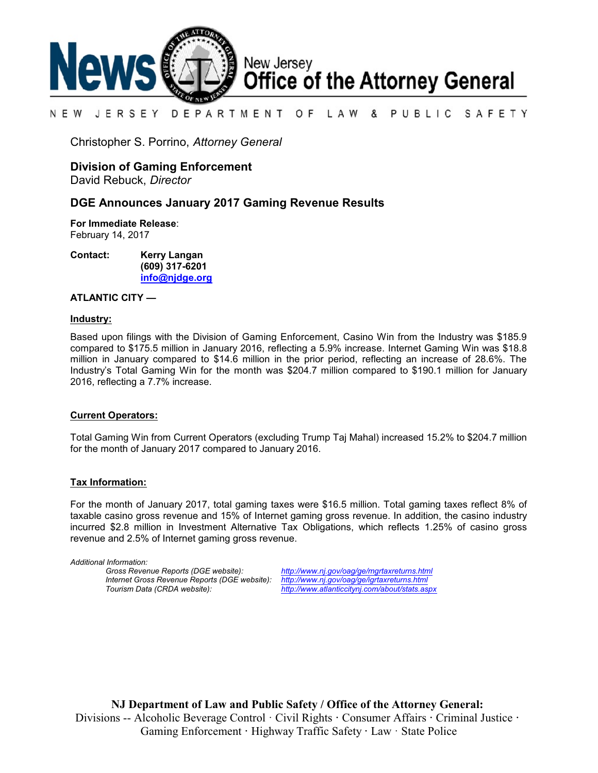

#### N E W JERSEY DEPARTMENT OF L A W & PUBLIC SAFETY

Christopher S. Porrino, *Attorney General*

# **Division of Gaming Enforcement**

David Rebuck, *Director*

## **DGE Announces January 2017 Gaming Revenue Results**

**For Immediate Release**:

February 14, 2017

**Contact: Kerry Langan (609) 317-6201 [info@njdge.org](file:///|//info@njdge.org)**

### **ATLANTIC CITY —**

#### **Industry:**

Based upon filings with the Division of Gaming Enforcement, Casino Win from the Industry was \$185.9 compared to \$175.5 million in January 2016, reflecting a 5.9% increase. Internet Gaming Win was \$18.8 million in January compared to \$14.6 million in the prior period, reflecting an increase of 28.6%. The Industry's Total Gaming Win for the month was \$204.7 million compared to \$190.1 million for January 2016, reflecting a 7.7% increase.

#### **Current Operators:**

Total Gaming Win from Current Operators (excluding Trump Taj Mahal) increased 15.2% to \$204.7 million for the month of January 2017 compared to January 2016.

#### **Tax Information:**

For the month of January 2017, total gaming taxes were \$16.5 million. Total gaming taxes reflect 8% of taxable casino gross revenue and 15% of Internet gaming gross revenue. In addition, the casino industry incurred \$2.8 million in Investment Alternative Tax Obligations, which reflects 1.25% of casino gross revenue and 2.5% of Internet gaming gross revenue.

*Additional Information: Internet Gross Revenue Reports (DGE website):*<br>Tourism Data (CRDA website):

*Gross Revenue Reports (DGE website): <http://www.nj.gov/oag/ge/mgrtaxreturns.html> Tourism Data (CRDA website): <http://www.atlanticcitynj.com/about/stats.aspx>*

**NJ Department of Law and Public Safety / Office of the Attorney General:** Divisions -- Alcoholic Beverage Control · Civil Rights **·** Consumer Affairs **·** Criminal Justice **·**  Gaming Enforcement **·** Highway Traffic Safety **·** Law · State Police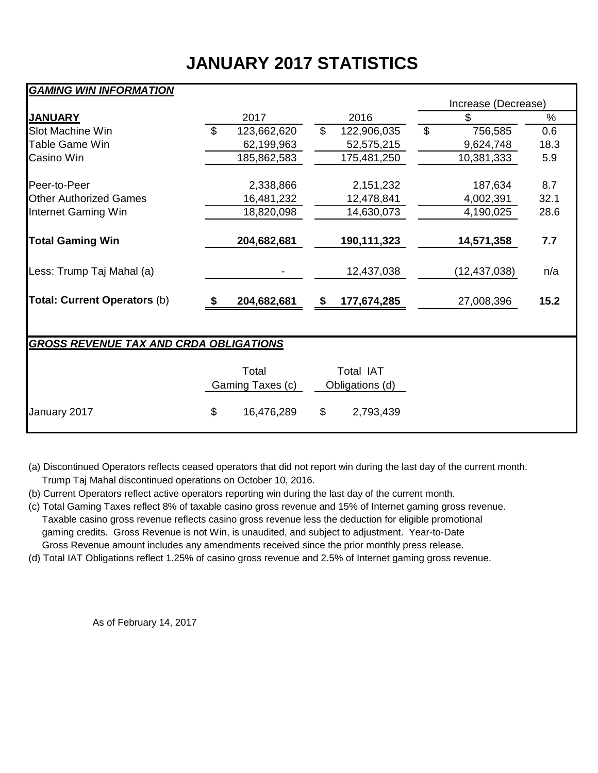# **JANUARY 2017 STATISTICS**

# *GAMING WIN INFORMATION*

|                                               |                |                  |                |                 |                | Increase (Decrease) |               |  |  |  |  |  |  |
|-----------------------------------------------|----------------|------------------|----------------|-----------------|----------------|---------------------|---------------|--|--|--|--|--|--|
| <b>JANUARY</b>                                |                | 2017             |                | 2016            |                | \$                  | $\frac{0}{0}$ |  |  |  |  |  |  |
| <b>Slot Machine Win</b>                       | $\mathfrak{L}$ | 123,662,620      | $\mathfrak{S}$ | 122,906,035     | $\mathfrak{S}$ | 756,585             | 0.6           |  |  |  |  |  |  |
| Table Game Win                                |                | 62,199,963       |                | 52,575,215      |                | 9,624,748           | 18.3          |  |  |  |  |  |  |
| Casino Win                                    |                | 185,862,583      |                | 175,481,250     |                | 10,381,333          | 5.9           |  |  |  |  |  |  |
|                                               |                |                  |                |                 |                |                     |               |  |  |  |  |  |  |
| Peer-to-Peer                                  |                | 2,338,866        |                | 2, 151, 232     |                | 187,634             | 8.7           |  |  |  |  |  |  |
| <b>Other Authorized Games</b>                 |                | 16,481,232       |                | 12,478,841      |                | 4,002,391           | 32.1          |  |  |  |  |  |  |
| Internet Gaming Win                           |                | 18,820,098       |                | 14,630,073      |                | 4,190,025           | 28.6          |  |  |  |  |  |  |
|                                               |                |                  |                |                 |                |                     |               |  |  |  |  |  |  |
| <b>Total Gaming Win</b>                       |                | 204,682,681      |                | 190,111,323     |                | 14,571,358          | 7.7           |  |  |  |  |  |  |
|                                               |                |                  |                |                 |                |                     |               |  |  |  |  |  |  |
| Less: Trump Taj Mahal (a)                     |                |                  |                | 12,437,038      |                | (12, 437, 038)      | n/a           |  |  |  |  |  |  |
|                                               |                |                  |                |                 |                |                     |               |  |  |  |  |  |  |
| <b>Total: Current Operators (b)</b>           | S              | 204,682,681      | \$             | 177,674,285     |                | 27,008,396          | 15.2          |  |  |  |  |  |  |
|                                               |                |                  |                |                 |                |                     |               |  |  |  |  |  |  |
|                                               |                |                  |                |                 |                |                     |               |  |  |  |  |  |  |
| <b>GROSS REVENUE TAX AND CRDA OBLIGATIONS</b> |                |                  |                |                 |                |                     |               |  |  |  |  |  |  |
|                                               |                |                  |                |                 |                |                     |               |  |  |  |  |  |  |
|                                               |                | Total            |                | Total IAT       |                |                     |               |  |  |  |  |  |  |
|                                               |                | Gaming Taxes (c) |                | Obligations (d) |                |                     |               |  |  |  |  |  |  |
|                                               |                |                  |                |                 |                |                     |               |  |  |  |  |  |  |
| January 2017                                  | \$             | 16,476,289       | \$             | 2,793,439       |                |                     |               |  |  |  |  |  |  |
|                                               |                |                  |                |                 |                |                     |               |  |  |  |  |  |  |

(a) Discontinued Operators reflects ceased operators that did not report win during the last day of the current month. Trump Taj Mahal discontinued operations on October 10, 2016.

(b) Current Operators reflect active operators reporting win during the last day of the current month.

- (c) Total Gaming Taxes reflect 8% of taxable casino gross revenue and 15% of Internet gaming gross revenue. Taxable casino gross revenue reflects casino gross revenue less the deduction for eligible promotional gaming credits. Gross Revenue is not Win, is unaudited, and subject to adjustment. Year-to-Date Gross Revenue amount includes any amendments received since the prior monthly press release.
- (d) Total IAT Obligations reflect 1.25% of casino gross revenue and 2.5% of Internet gaming gross revenue.

As of February 14, 2017